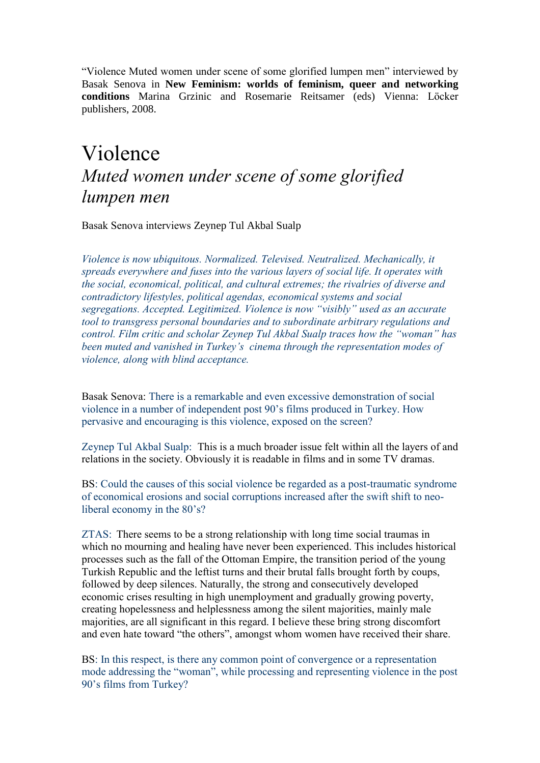"Violence Muted women under scene of some glorified lumpen men" interviewed by Basak Senova in **New Feminism: worlds of feminism, queer and networking conditions** Marina Grzinic and Rosemarie Reitsamer (eds) Vienna: Löcker publishers, 2008.

## Violence *Muted women under scene of some glorified lumpen men*

Basak Senova interviews Zeynep Tul Akbal Sualp

*Violence is now ubiquitous. Normalized. Televised. Neutralized. Mechanically, it spreads everywhere and fuses into the various layers of social life. It operates with the social, economical, political, and cultural extremes; the rivalries of diverse and contradictory lifestyles, political agendas, economical systems and social segregations. Accepted. Legitimized. Violence is now "visibly" used as an accurate tool to transgress personal boundaries and to subordinate arbitrary regulations and control. Film critic and scholar Zeynep Tul Akbal Sualp traces how the "woman" has been muted and vanished in Turkey's cinema through the representation modes of violence, along with blind acceptance.*

Basak Senova: There is a remarkable and even excessive demonstration of social violence in a number of independent post 90's films produced in Turkey. How pervasive and encouraging is this violence, exposed on the screen?

Zeynep Tul Akbal Sualp: This is a much broader issue felt within all the layers of and relations in the society. Obviously it is readable in films and in some TV dramas.

BS: Could the causes of this social violence be regarded as a post-traumatic syndrome of economical erosions and social corruptions increased after the swift shift to neoliberal economy in the 80's?

ZTAS: There seems to be a strong relationship with long time social traumas in which no mourning and healing have never been experienced. This includes historical processes such as the fall of the Ottoman Empire, the transition period of the young Turkish Republic and the leftist turns and their brutal falls brought forth by coups, followed by deep silences. Naturally, the strong and consecutively developed economic crises resulting in high unemployment and gradually growing poverty, creating hopelessness and helplessness among the silent majorities, mainly male majorities, are all significant in this regard. I believe these bring strong discomfort and even hate toward "the others", amongst whom women have received their share.

BS: In this respect, is there any common point of convergence or a representation mode addressing the "woman", while processing and representing violence in the post 90's films from Turkey?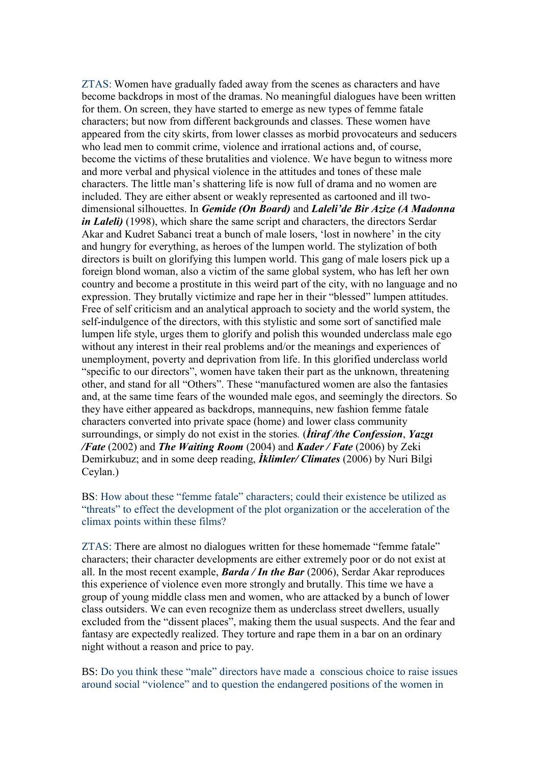ZTAS: Women have gradually faded away from the scenes as characters and have become backdrops in most of the dramas. No meaningful dialogues have been written for them. On screen, they have started to emerge as new types of femme fatale characters; but now from different backgrounds and classes. These women have appeared from the city skirts, from lower classes as morbid provocateurs and seducers who lead men to commit crime, violence and irrational actions and, of course, become the victims of these brutalities and violence. We have begun to witness more and more verbal and physical violence in the attitudes and tones of these male characters. The little man's shattering life is now full of drama and no women are included. They are either absent or weakly represented as cartooned and ill twodimensional silhouettes. In *Gemide (On Board)* and *Laleli'de Bir Azize (A Madonna in Laleli)* (1998), which share the same script and characters, the directors Serdar Akar and Kudret Sabanci treat a bunch of male losers, 'lost in nowhere' in the city and hungry for everything, as heroes of the lumpen world. The stylization of both directors is built on glorifying this lumpen world. This gang of male losers pick up a foreign blond woman, also a victim of the same global system, who has left her own country and become a prostitute in this weird part of the city, with no language and no expression. They brutally victimize and rape her in their "blessed" lumpen attitudes. Free of self criticism and an analytical approach to society and the world system, the self-indulgence of the directors, with this stylistic and some sort of sanctified male lumpen life style, urges them to glorify and polish this wounded underclass male ego without any interest in their real problems and/or the meanings and experiences of unemployment, poverty and deprivation from life. In this glorified underclass world "specific to our directors", women have taken their part as the unknown, threatening other, and stand for all "Others". These "manufactured women are also the fantasies and, at the same time fears of the wounded male egos, and seemingly the directors. So they have either appeared as backdrops, mannequins, new fashion femme fatale characters converted into private space (home) and lower class community surroundings, or simply do not exist in the stories*.* (*İtiraf /the Confession*, *Yazgı /Fate* (2002) and *The Waiting Room* (2004) and *Kader / Fate* (2006) by Zeki Demirkubuz; and in some deep reading, *İklimler/ Climates* (2006) by Nuri Bilgi Ceylan.)

BS: How about these "femme fatale" characters; could their existence be utilized as "threats" to effect the development of the plot organization or the acceleration of the climax points within these films?

ZTAS: There are almost no dialogues written for these homemade "femme fatale" characters; their character developments are either extremely poor or do not exist at all. In the most recent example, *Barda / In the Bar* (2006), Serdar Akar reproduces this experience of violence even more strongly and brutally. This time we have a group of young middle class men and women, who are attacked by a bunch of lower class outsiders. We can even recognize them as underclass street dwellers, usually excluded from the "dissent places", making them the usual suspects. And the fear and fantasy are expectedly realized. They torture and rape them in a bar on an ordinary night without a reason and price to pay.

BS: Do you think these "male" directors have made a conscious choice to raise issues around social "violence" and to question the endangered positions of the women in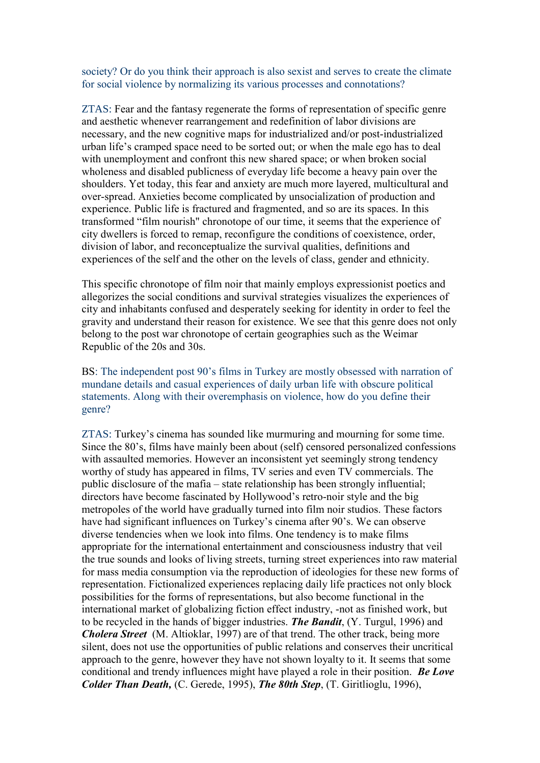society? Or do you think their approach is also sexist and serves to create the climate for social violence by normalizing its various processes and connotations?

ZTAS: Fear and the fantasy regenerate the forms of representation of specific genre and aesthetic whenever rearrangement and redefinition of labor divisions are necessary, and the new cognitive maps for industrialized and/or post-industrialized urban life's cramped space need to be sorted out; or when the male ego has to deal with unemployment and confront this new shared space; or when broken social wholeness and disabled publicness of everyday life become a heavy pain over the shoulders. Yet today, this fear and anxiety are much more layered, multicultural and over-spread. Anxieties become complicated by unsocialization of production and experience. Public life is fractured and fragmented, and so are its spaces. In this transformed "film nourish" chronotope of our time, it seems that the experience of city dwellers is forced to remap, reconfigure the conditions of coexistence, order, division of labor, and reconceptualize the survival qualities, definitions and experiences of the self and the other on the levels of class, gender and ethnicity.

This specific chronotope of film noir that mainly employs expressionist poetics and allegorizes the social conditions and survival strategies visualizes the experiences of city and inhabitants confused and desperately seeking for identity in order to feel the gravity and understand their reason for existence. We see that this genre does not only belong to the post war chronotope of certain geographies such as the Weimar Republic of the 20s and 30s.

BS: The independent post 90's films in Turkey are mostly obsessed with narration of mundane details and casual experiences of daily urban life with obscure political statements. Along with their overemphasis on violence, how do you define their genre?

ZTAS: Turkey's cinema has sounded like murmuring and mourning for some time. Since the 80's, films have mainly been about (self) censored personalized confessions with assaulted memories. However an inconsistent yet seemingly strong tendency worthy of study has appeared in films, TV series and even TV commercials. The public disclosure of the mafia – state relationship has been strongly influential; directors have become fascinated by Hollywood's retro-noir style and the big metropoles of the world have gradually turned into film noir studios. These factors have had significant influences on Turkey's cinema after 90's. We can observe diverse tendencies when we look into films. One tendency is to make films appropriate for the international entertainment and consciousness industry that veil the true sounds and looks of living streets, turning street experiences into raw material for mass media consumption via the reproduction of ideologies for these new forms of representation. Fictionalized experiences replacing daily life practices not only block possibilities for the forms of representations, but also become functional in the international market of globalizing fiction effect industry, -not as finished work, but to be recycled in the hands of bigger industries. *The Bandit*, (Y. Turgul, 1996) and *Cholera Street* (M. Altioklar, 1997) are of that trend. The other track, being more silent, does not use the opportunities of public relations and conserves their uncritical approach to the genre, however they have not shown loyalty to it. It seems that some conditional and trendy influences might have played a role in their position. *Be Love Colder Than Death,* (C. Gerede, 1995), *The 80th Step*, (T. Giritlioglu, 1996),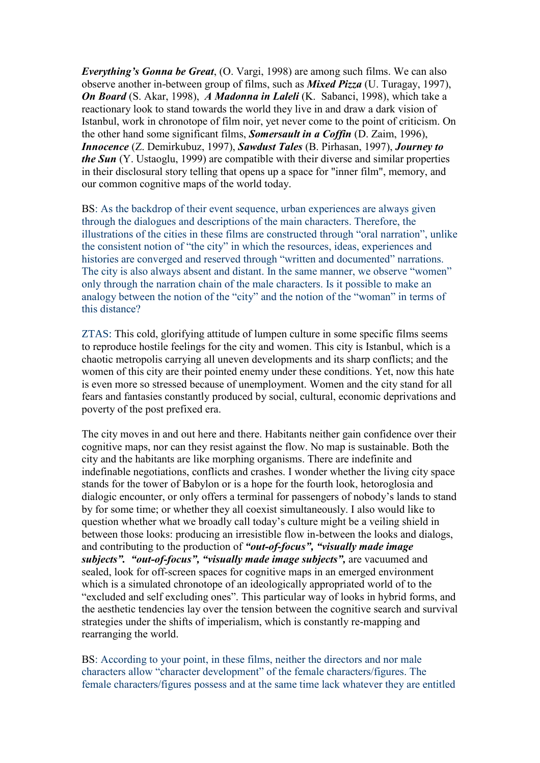*Everything's Gonna be Great*, (O. Vargi, 1998) are among such films. We can also observe another in-between group of films, such as *Mixed Pizza* (U. Turagay, 1997), *On Board* (S. Akar, 1998), *A Madonna in Laleli* (K. Sabanci, 1998), which take a reactionary look to stand towards the world they live in and draw a dark vision of Istanbul, work in chronotope of film noir, yet never come to the point of criticism. On the other hand some significant films, *Somersault in a Coffin* (D. Zaim, 1996), *Innocence* (Z. Demirkubuz, 1997), *Sawdust Tales* (B. Pirhasan, 1997), *Journey to the Sun* (Y. Ustaoglu, 1999) are compatible with their diverse and similar properties in their disclosural story telling that opens up a space for "inner film", memory, and our common cognitive maps of the world today.

BS: As the backdrop of their event sequence, urban experiences are always given through the dialogues and descriptions of the main characters. Therefore, the illustrations of the cities in these films are constructed through "oral narration", unlike the consistent notion of "the city" in which the resources, ideas, experiences and histories are converged and reserved through "written and documented" narrations. The city is also always absent and distant. In the same manner, we observe "women" only through the narration chain of the male characters. Is it possible to make an analogy between the notion of the "city" and the notion of the "woman" in terms of this distance?

ZTAS: This cold, glorifying attitude of lumpen culture in some specific films seems to reproduce hostile feelings for the city and women. This city is Istanbul, which is a chaotic metropolis carrying all uneven developments and its sharp conflicts; and the women of this city are their pointed enemy under these conditions. Yet, now this hate is even more so stressed because of unemployment. Women and the city stand for all fears and fantasies constantly produced by social, cultural, economic deprivations and poverty of the post prefixed era.

The city moves in and out here and there. Habitants neither gain confidence over their cognitive maps, nor can they resist against the flow. No map is sustainable. Both the city and the habitants are like morphing organisms. There are indefinite and indefinable negotiations, conflicts and crashes. I wonder whether the living city space stands for the tower of Babylon or is a hope for the fourth look, hetoroglosia and dialogic encounter, or only offers a terminal for passengers of nobody's lands to stand by for some time; or whether they all coexist simultaneously. I also would like to question whether what we broadly call today's culture might be a veiling shield in between those looks: producing an irresistible flow in-between the looks and dialogs, and contributing to the production of *"out-of-focus", "visually made image subjects". "out-of-focus", "visually made image subjects",* are vacuumed and sealed, look for off-screen spaces for cognitive maps in an emerged environment which is a simulated chronotope of an ideologically appropriated world of to the "excluded and self excluding ones". This particular way of looks in hybrid forms, and the aesthetic tendencies lay over the tension between the cognitive search and survival strategies under the shifts of imperialism, which is constantly re-mapping and rearranging the world.

BS: According to your point, in these films, neither the directors and nor male characters allow "character development" of the female characters/figures. The female characters/figures possess and at the same time lack whatever they are entitled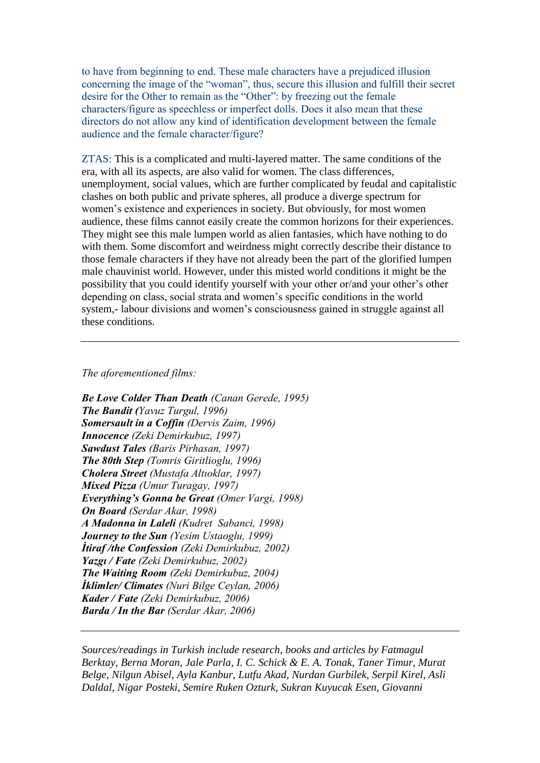to have from beginning to end. These male characters have a prejudiced illusion concerning the image of the "woman", thus, secure this illusion and fulfill their secret desire for the Other to remain as the "Other": by freezing out the female characters/figure as speechless or imperfect dolls. Does it also mean that these directors do not allow any kind of identification development between the female audience and the female character/figure?

ZTAS: This is a complicated and multi-layered matter. The same conditions of the era, with all its aspects, are also valid for women. The class differences, unemployment, social values, which are further complicated by feudal and capitalistic clashes on both public and private spheres, all produce a diverge spectrum for women's existence and experiences in society. But obviously, for most women audience, these films cannot easily create the common horizons for their experiences. They might see this male lumpen world as alien fantasies, which have nothing to do with them. Some discomfort and weirdness might correctly describe their distance to those female characters if they have not already been the part of the glorified lumpen male chauvinist world. However, under this misted world conditions it might be the possibility that you could identify yourself with your other or/and your other's other depending on class, social strata and women's specific conditions in the world system,- labour divisions and women's consciousness gained in struggle against all these conditions.

## *The aforementioned films:*

*Be Love Colder Than Death (Canan Gerede, 1995) The Bandit (Yavuz Turgul, 1996) Somersault in a Coffin (Dervis Zaim, 1996) Innocence (Zeki Demirkubuz, 1997) Sawdust Tales (Baris Pirhasan, 1997) The 80th Step (Tomris Giritlioglu, 1996) Cholera Street (Mustafa Altıoklar, 1997) Mixed Pizza (Umur Turagay, 1997) Everything's Gonna be Great (Omer Vargi, 1998) On Board (Serdar Akar, 1998) A Madonna in Laleli (Kudret Sabanci, 1998) Journey to the Sun (Yesim Ustaoglu, 1999) İtiraf /the Confession (Zeki Demirkubuz, 2002) Yazgı / Fate (Zeki Demirkubuz, 2002) The Waiting Room (Zeki Demirkubuz, 2004) İklimler/ Climates (Nuri Bilge Ceylan, 2006) Kader / Fate (Zeki Demirkubuz, 2006) Barda / In the Bar (Serdar Akar, 2006)*

*Sources/readings in Turkish include research, books and articles by Fatmagul Berktay, Berna Moran, Jale Parla, I. C. Schick & E. A. Tonak, Taner Timur, Murat Belge, Nilgun Abisel, Ayla Kanbur, Lutfu Akad, Nurdan Gurbilek, Serpil Kirel, Asli Daldal, Nigar Posteki, Semire Ruken Ozturk, Sukran Kuyucak Esen, Giovanni*